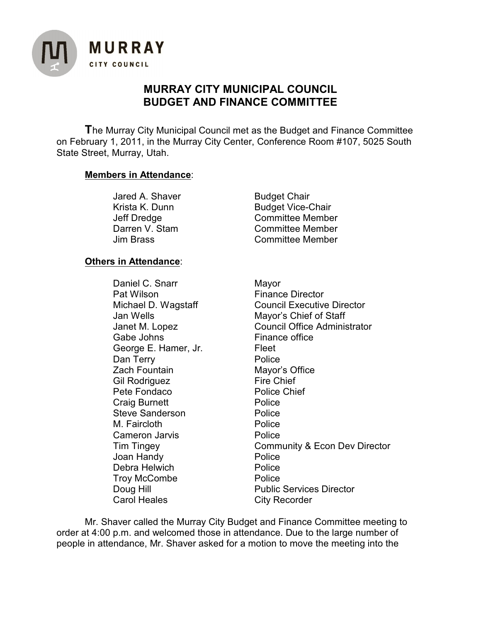

# **MURRAY CITY MUNICIPAL COUNCIL BUDGET AND FINANCE COMMITTEE**

**T**he Murray City Municipal Council met as the Budget and Finance Committee on February 1, 2011, in the Murray City Center, Conference Room #107, 5025 South State Street, Murray, Utah.

# **Members in Attendance**:

| <b>Budget Chair</b>      |
|--------------------------|
| <b>Budget Vice-Chair</b> |
| <b>Committee Member</b>  |
| <b>Committee Member</b>  |
| <b>Committee Member</b>  |
|                          |

# **Others in Attendance**:

Daniel C. Snarr Mayor<br>Pat Wilson Mayor Financ Gabe Johns Finance office George E. Hamer, Jr. Fleet Dan Terry **Dan Terry Police** Zach Fountain Mayor's Office<br>
Gil Rodriguez 
Gil Rodriguez

Gil Rodriguez

Gil Rodriguez

Mayor 
Mayor's Office Gil Rodriguez Pete Fondaco Police Chief<br>Craig Burnett Craig Police Craig Burnett Steve Sanderson **Police** M. Faircloth **Police** Cameron Jarvis **Police** Joan Handy **Police** Debra Helwich **Police** Troy McCombe **Police** Carol Heales City Recorder

**Finance Director** Michael D. Wagstaff Council Executive Director Jan Wells Mayor's Chief of Staff Janet M. Lopez Council Office Administrator Tim Tingey Community & Econ Dev Director Doug Hill **Public Services Director** 

Mr. Shaver called the Murray City Budget and Finance Committee meeting to order at 4:00 p.m. and welcomed those in attendance. Due to the large number of people in attendance, Mr. Shaver asked for a motion to move the meeting into the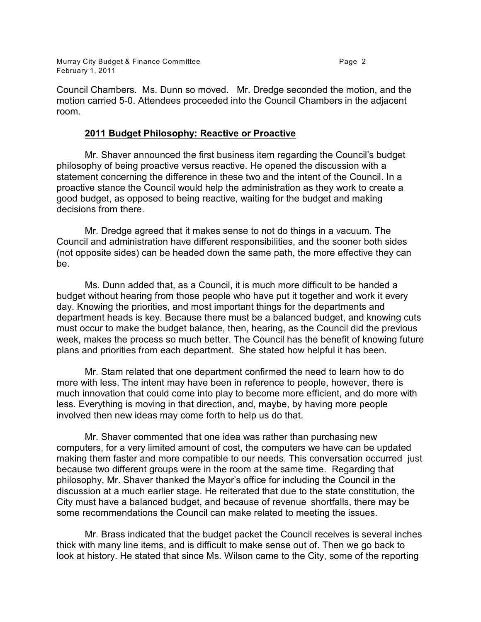Murray City Budget & Finance Committee **Page 2** and the Page 2 February 1, 2011

Council Chambers. Ms. Dunn so moved. Mr. Dredge seconded the motion, and the motion carried 5-0. Attendees proceeded into the Council Chambers in the adjacent room.

#### **2011 Budget Philosophy: Reactive or Proactive**

Mr. Shaver announced the first business item regarding the Council's budget philosophy of being proactive versus reactive. He opened the discussion with a statement concerning the difference in these two and the intent of the Council. In a proactive stance the Council would help the administration as they work to create a good budget, as opposed to being reactive, waiting for the budget and making decisions from there.

Mr. Dredge agreed that it makes sense to not do things in a vacuum. The Council and administration have different responsibilities, and the sooner both sides (not opposite sides) can be headed down the same path, the more effective they can be.

Ms. Dunn added that, as a Council, it is much more difficult to be handed a budget without hearing from those people who have put it together and work it every day. Knowing the priorities, and most important things for the departments and department heads is key. Because there must be a balanced budget, and knowing cuts must occur to make the budget balance, then, hearing, as the Council did the previous week, makes the process so much better. The Council has the benefit of knowing future plans and priorities from each department. She stated how helpful it has been.

Mr. Stam related that one department confirmed the need to learn how to do more with less. The intent may have been in reference to people, however, there is much innovation that could come into play to become more efficient, and do more with less. Everything is moving in that direction, and, maybe, by having more people involved then new ideas may come forth to help us do that.

Mr. Shaver commented that one idea was rather than purchasing new computers, for a very limited amount of cost, the computers we have can be updated making them faster and more compatible to our needs. This conversation occurred just because two different groups were in the room at the same time. Regarding that philosophy, Mr. Shaver thanked the Mayor's office for including the Council in the discussion at a much earlier stage. He reiterated that due to the state constitution, the City must have a balanced budget, and because of revenue shortfalls, there may be some recommendations the Council can make related to meeting the issues.

Mr. Brass indicated that the budget packet the Council receives is several inches thick with many line items, and is difficult to make sense out of. Then we go back to look at history. He stated that since Ms. Wilson came to the City, some of the reporting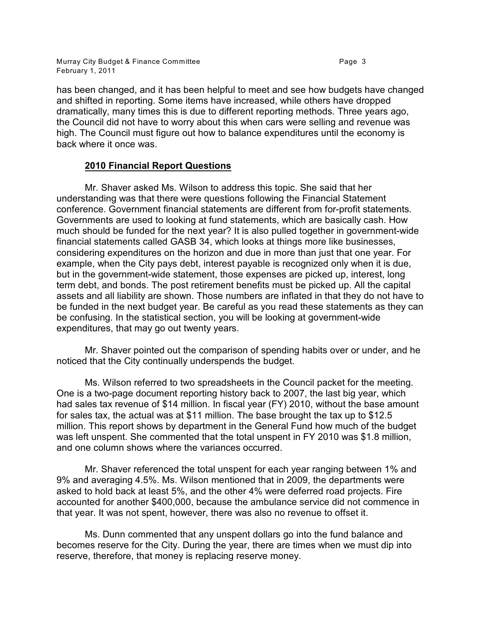has been changed, and it has been helpful to meet and see how budgets have changed and shifted in reporting. Some items have increased, while others have dropped dramatically, many times this is due to different reporting methods. Three years ago, the Council did not have to worry about this when cars were selling and revenue was high. The Council must figure out how to balance expenditures until the economy is back where it once was.

# **2010 Financial Report Questions**

Mr. Shaver asked Ms. Wilson to address this topic. She said that her understanding was that there were questions following the Financial Statement conference. Government financial statements are different from for-profit statements. Governments are used to looking at fund statements, which are basically cash. How much should be funded for the next year? It is also pulled together in government-wide financial statements called GASB 34, which looks at things more like businesses, considering expenditures on the horizon and due in more than just that one year. For example, when the City pays debt, interest payable is recognized only when it is due, but in the government-wide statement, those expenses are picked up, interest, long term debt, and bonds. The post retirement benefits must be picked up. All the capital assets and all liability are shown. Those numbers are inflated in that they do not have to be funded in the next budget year. Be careful as you read these statements as they can be confusing. In the statistical section, you will be looking at government-wide expenditures, that may go out twenty years.

Mr. Shaver pointed out the comparison of spending habits over or under, and he noticed that the City continually underspends the budget.

Ms. Wilson referred to two spreadsheets in the Council packet for the meeting. One is a two-page document reporting history back to 2007, the last big year, which had sales tax revenue of \$14 million. In fiscal year (FY) 2010, without the base amount for sales tax, the actual was at \$11 million. The base brought the tax up to \$12.5 million. This report shows by department in the General Fund how much of the budget was left unspent. She commented that the total unspent in FY 2010 was \$1.8 million, and one column shows where the variances occurred.

Mr. Shaver referenced the total unspent for each year ranging between 1% and 9% and averaging 4.5%. Ms. Wilson mentioned that in 2009, the departments were asked to hold back at least 5%, and the other 4% were deferred road projects. Fire accounted for another \$400,000, because the ambulance service did not commence in that year. It was not spent, however, there was also no revenue to offset it.

Ms. Dunn commented that any unspent dollars go into the fund balance and becomes reserve for the City. During the year, there are times when we must dip into reserve, therefore, that money is replacing reserve money.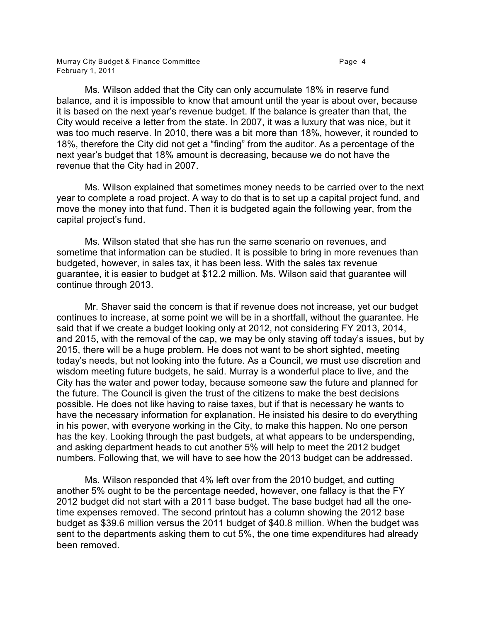Ms. Wilson added that the City can only accumulate 18% in reserve fund balance, and it is impossible to know that amount until the year is about over, because it is based on the next year's revenue budget. If the balance is greater than that, the City would receive a letter from the state. In 2007, it was a luxury that was nice, but it was too much reserve. In 2010, there was a bit more than 18%, however, it rounded to 18%, therefore the City did not get a "finding" from the auditor. As a percentage of the next year's budget that 18% amount is decreasing, because we do not have the revenue that the City had in 2007.

Ms. Wilson explained that sometimes money needs to be carried over to the next year to complete a road project. A way to do that is to set up a capital project fund, and move the money into that fund. Then it is budgeted again the following year, from the capital project's fund.

Ms. Wilson stated that she has run the same scenario on revenues, and sometime that information can be studied. It is possible to bring in more revenues than budgeted, however, in sales tax, it has been less. With the sales tax revenue guarantee, it is easier to budget at \$12.2 million. Ms. Wilson said that guarantee will continue through 2013.

Mr. Shaver said the concern is that if revenue does not increase, yet our budget continues to increase, at some point we will be in a shortfall, without the guarantee. He said that if we create a budget looking only at 2012, not considering FY 2013, 2014, and 2015, with the removal of the cap, we may be only staving off today's issues, but by 2015, there will be a huge problem. He does not want to be short sighted, meeting today's needs, but not looking into the future. As a Council, we must use discretion and wisdom meeting future budgets, he said. Murray is a wonderful place to live, and the City has the water and power today, because someone saw the future and planned for the future. The Council is given the trust of the citizens to make the best decisions possible. He does not like having to raise taxes, but if that is necessary he wants to have the necessary information for explanation. He insisted his desire to do everything in his power, with everyone working in the City, to make this happen. No one person has the key. Looking through the past budgets, at what appears to be underspending, and asking department heads to cut another 5% will help to meet the 2012 budget numbers. Following that, we will have to see how the 2013 budget can be addressed.

Ms. Wilson responded that 4% left over from the 2010 budget, and cutting another 5% ought to be the percentage needed, however, one fallacy is that the FY 2012 budget did not start with a 2011 base budget. The base budget had all the onetime expenses removed. The second printout has a column showing the 2012 base budget as \$39.6 million versus the 2011 budget of \$40.8 million. When the budget was sent to the departments asking them to cut 5%, the one time expenditures had already been removed.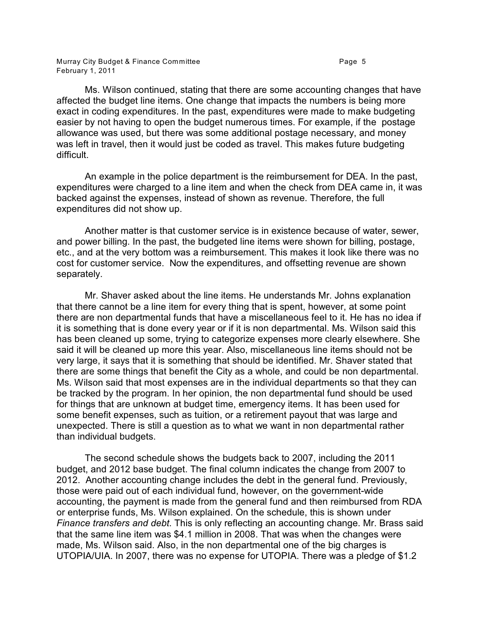Ms. Wilson continued, stating that there are some accounting changes that have affected the budget line items. One change that impacts the numbers is being more exact in coding expenditures. In the past, expenditures were made to make budgeting easier by not having to open the budget numerous times. For example, if the postage allowance was used, but there was some additional postage necessary, and money was left in travel, then it would just be coded as travel. This makes future budgeting difficult.

An example in the police department is the reimbursement for DEA. In the past, expenditures were charged to a line item and when the check from DEA came in, it was backed against the expenses, instead of shown as revenue. Therefore, the full expenditures did not show up.

Another matter is that customer service is in existence because of water, sewer, and power billing. In the past, the budgeted line items were shown for billing, postage, etc., and at the very bottom was a reimbursement. This makes it look like there was no cost for customer service. Now the expenditures, and offsetting revenue are shown separately.

Mr. Shaver asked about the line items. He understands Mr. Johns explanation that there cannot be a line item for every thing that is spent, however, at some point there are non departmental funds that have a miscellaneous feel to it. He has no idea if it is something that is done every year or if it is non departmental. Ms. Wilson said this has been cleaned up some, trying to categorize expenses more clearly elsewhere. She said it will be cleaned up more this year. Also, miscellaneous line items should not be very large, it says that it is something that should be identified. Mr. Shaver stated that there are some things that benefit the City as a whole, and could be non departmental. Ms. Wilson said that most expenses are in the individual departments so that they can be tracked by the program. In her opinion, the non departmental fund should be used for things that are unknown at budget time, emergency items. It has been used for some benefit expenses, such as tuition, or a retirement payout that was large and unexpected. There is still a question as to what we want in non departmental rather than individual budgets.

The second schedule shows the budgets back to 2007, including the 2011 budget, and 2012 base budget. The final column indicates the change from 2007 to 2012. Another accounting change includes the debt in the general fund. Previously, those were paid out of each individual fund, however, on the government-wide accounting, the payment is made from the general fund and then reimbursed from RDA or enterprise funds, Ms. Wilson explained. On the schedule, this is shown under *Finance transfers and debt*. This is only reflecting an accounting change. Mr. Brass said that the same line item was \$4.1 million in 2008. That was when the changes were made, Ms. Wilson said. Also, in the non departmental one of the big charges is UTOPIA/UIA. In 2007, there was no expense for UTOPIA. There was a pledge of \$1.2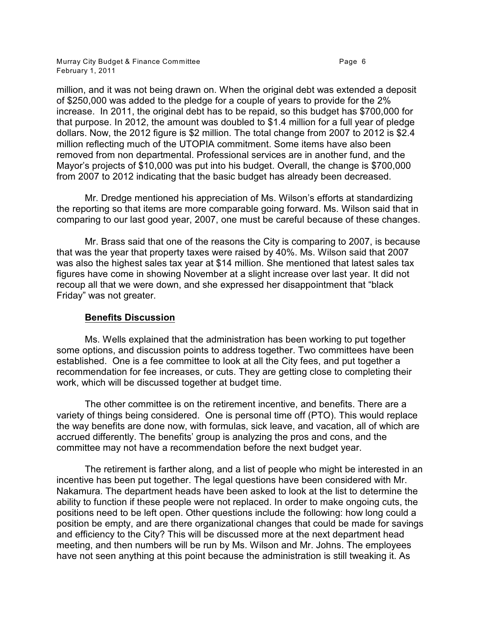Murray City Budget & Finance Committee **Page 6** and the Page 6 February 1, 2011

million, and it was not being drawn on. When the original debt was extended a deposit of \$250,000 was added to the pledge for a couple of years to provide for the 2% increase. In 2011, the original debt has to be repaid, so this budget has \$700,000 for that purpose. In 2012, the amount was doubled to \$1.4 million for a full year of pledge dollars. Now, the 2012 figure is \$2 million. The total change from 2007 to 2012 is \$2.4 million reflecting much of the UTOPIA commitment. Some items have also been removed from non departmental. Professional services are in another fund, and the Mayor's projects of \$10,000 was put into his budget. Overall, the change is \$700,000 from 2007 to 2012 indicating that the basic budget has already been decreased.

Mr. Dredge mentioned his appreciation of Ms. Wilson's efforts at standardizing the reporting so that items are more comparable going forward. Ms. Wilson said that in comparing to our last good year, 2007, one must be careful because of these changes.

Mr. Brass said that one of the reasons the City is comparing to 2007, is because that was the year that property taxes were raised by 40%. Ms. Wilson said that 2007 was also the highest sales tax year at \$14 million. She mentioned that latest sales tax figures have come in showing November at a slight increase over last year. It did not recoup all that we were down, and she expressed her disappointment that "black Friday" was not greater.

## **Benefits Discussion**

Ms. Wells explained that the administration has been working to put together some options, and discussion points to address together. Two committees have been established. One is a fee committee to look at all the City fees, and put together a recommendation for fee increases, or cuts. They are getting close to completing their work, which will be discussed together at budget time.

The other committee is on the retirement incentive, and benefits. There are a variety of things being considered. One is personal time off (PTO). This would replace the way benefits are done now, with formulas, sick leave, and vacation, all of which are accrued differently. The benefits' group is analyzing the pros and cons, and the committee may not have a recommendation before the next budget year.

The retirement is farther along, and a list of people who might be interested in an incentive has been put together. The legal questions have been considered with Mr. Nakamura. The department heads have been asked to look at the list to determine the ability to function if these people were not replaced. In order to make ongoing cuts, the positions need to be left open. Other questions include the following: how long could a position be empty, and are there organizational changes that could be made for savings and efficiency to the City? This will be discussed more at the next department head meeting, and then numbers will be run by Ms. Wilson and Mr. Johns. The employees have not seen anything at this point because the administration is still tweaking it. As